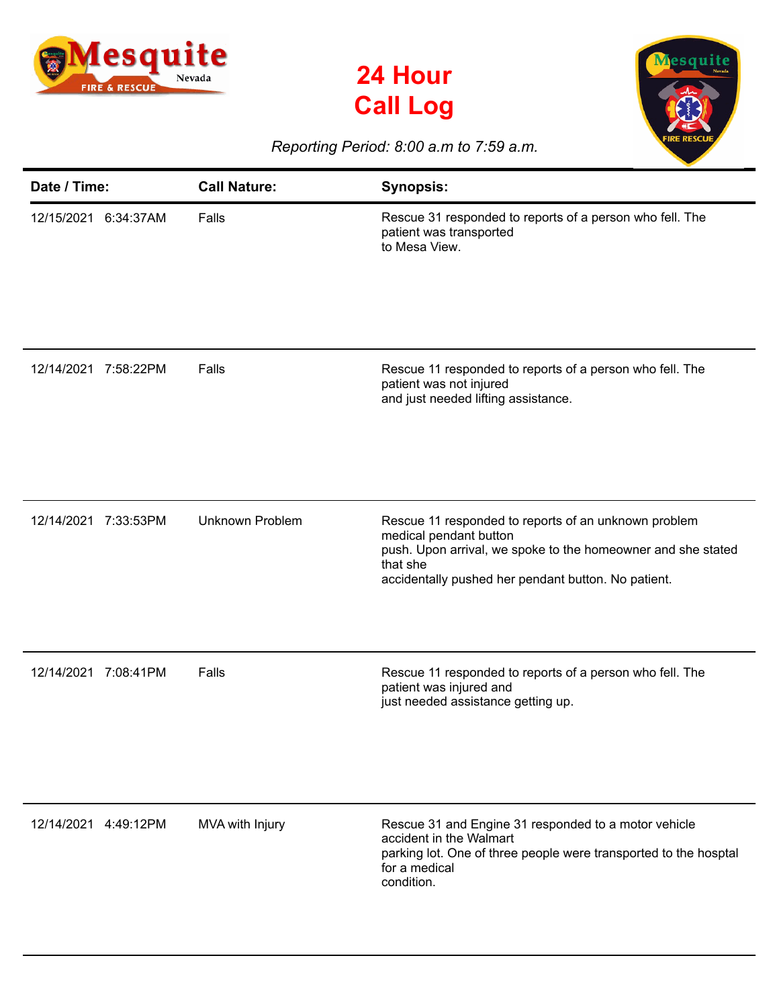





## *Reporting Period: 8:00 a.m to 7:59 a.m.*

| Date / Time:         | <b>Call Nature:</b>    | <b>Synopsis:</b>                                                                                                                                                                                                  |
|----------------------|------------------------|-------------------------------------------------------------------------------------------------------------------------------------------------------------------------------------------------------------------|
| 12/15/2021 6:34:37AM | Falls                  | Rescue 31 responded to reports of a person who fell. The<br>patient was transported<br>to Mesa View.                                                                                                              |
| 12/14/2021 7:58:22PM | Falls                  | Rescue 11 responded to reports of a person who fell. The<br>patient was not injured<br>and just needed lifting assistance.                                                                                        |
| 12/14/2021 7:33:53PM | <b>Unknown Problem</b> | Rescue 11 responded to reports of an unknown problem<br>medical pendant button<br>push. Upon arrival, we spoke to the homeowner and she stated<br>that she<br>accidentally pushed her pendant button. No patient. |
| 12/14/2021 7:08:41PM | Falls                  | Rescue 11 responded to reports of a person who fell. The<br>patient was injured and<br>just needed assistance getting up.                                                                                         |
| 12/14/2021 4:49:12PM | MVA with Injury        | Rescue 31 and Engine 31 responded to a motor vehicle<br>accident in the Walmart<br>parking lot. One of three people were transported to the hosptal<br>for a medical<br>condition.                                |